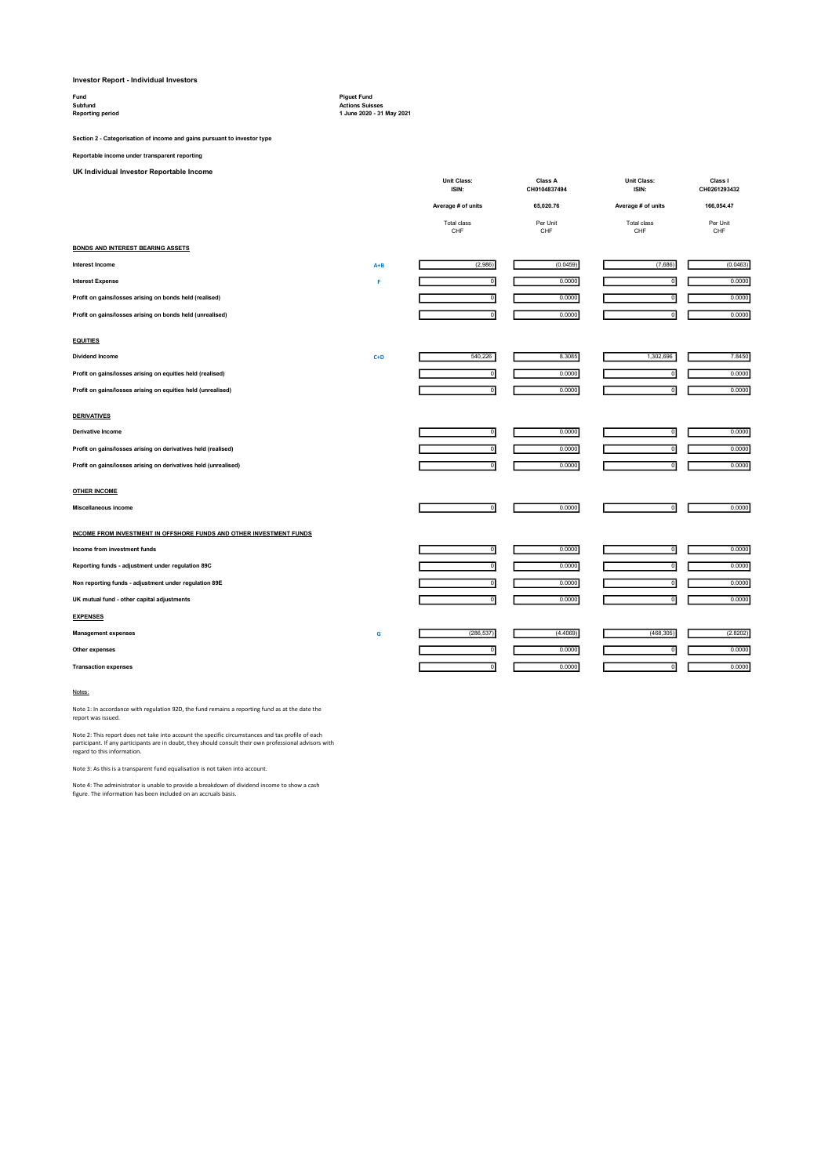## Investor Report - Individual Investors

| Fund                    | <b>Piquet Fund</b>     |
|-------------------------|------------------------|
| Subfund                 | <b>Actions Suisses</b> |
| <b>Reporting period</b> | 1 June 2020 - 31       |

# es<br>31 May 2021

Section 2 - Categorisation of income and gains pursuant to investor type

## Reportable income under transparent reporting

UK Individual Investor Reportable Income

| UK Individual Investor Reportable Income                            |         | <b>Unit Class:</b>      |                                | Unit Class:               |                         |
|---------------------------------------------------------------------|---------|-------------------------|--------------------------------|---------------------------|-------------------------|
|                                                                     |         | ISIN:                   | <b>Class A</b><br>CH0104837494 | ISIN:                     | Class I<br>CH0261293432 |
|                                                                     |         | Average # of units      | 65,020.76                      | Average # of units        | 166,054.47              |
|                                                                     |         | Total class<br>CHF      | Per Unit<br>CHF                | <b>Total class</b><br>CHF | Per Unit<br>CHF         |
| <b>BONDS AND INTEREST BEARING ASSETS</b>                            |         |                         |                                |                           |                         |
| <b>Interest Income</b>                                              | $A + B$ | (2,986)                 | (0.0459)                       | (7,686)                   | (0.0463)                |
| <b>Interest Expense</b>                                             | F       | $\overline{0}$          | 0.0000                         | ō                         | 0.0000                  |
| Profit on gains/losses arising on bonds held (realised)             |         | ō                       | 0.0000                         | ō                         | 0.0000                  |
| Profit on gains/losses arising on bonds held (unrealised)           |         | ō                       | 0.0000                         | ō                         | 0.0000                  |
| <b>EQUITIES</b>                                                     |         |                         |                                |                           |                         |
| <b>Dividend Income</b>                                              | $C+D$   | 540,226                 | 8.3085                         | 1,302,696                 | 7.8450                  |
| Profit on gains/losses arising on equities held (realised)          |         | $\circ$                 | 0.0000                         | $\mathbf 0$               | 0.0000                  |
| Profit on gains/losses arising on equities held (unrealised)        |         | $\overline{0}$          | 0.0000                         | $\overline{0}$            | 0.0000                  |
| <b>DERIVATIVES</b>                                                  |         |                         |                                |                           |                         |
| Derivative Income                                                   |         | $\circ$                 | 0.0000                         | $\circ$                   | 0.0000                  |
| Profit on gains/losses arising on derivatives held (realised)       |         | $\,$ 0                  | 0.0000                         | $\mathbf 0$               | 0.0000                  |
| Profit on gains/losses arising on derivatives held (unrealised)     |         | $\overline{\mathbf{0}}$ | 0.0000                         | $\overline{0}$            | 0.0000                  |
| <b>OTHER INCOME</b>                                                 |         |                         |                                |                           |                         |
| Miscellaneous income                                                |         | $\mathbf 0$             | 0.0000                         | $\mathbf 0$               | 0.0000                  |
| INCOME FROM INVESTMENT IN OFFSHORE FUNDS AND OTHER INVESTMENT FUNDS |         |                         |                                |                           |                         |
| Income from investment funds                                        |         | $\mathbf 0$             | 0.0000                         | $\mathbf 0$               | 0.0000                  |
| Reporting funds - adjustment under regulation 89C                   |         | $\mathbf 0$             | 0.0000                         | $\mathbf 0$               | 0.0000                  |
| Non reporting funds - adjustment under regulation 89E               |         | $\mathbf 0$             | 0.0000                         | $\mathbf 0$               | 0.0000                  |
| UK mutual fund - other capital adjustments                          |         | ō                       | 0.0000                         | $\mathbf 0$               | 0.0000                  |
| <b>EXPENSES</b>                                                     |         |                         |                                |                           |                         |
| <b>Management expenses</b>                                          | G       | (286, 537)              | (4.4069)                       | (468, 305)                | (2.8202)                |
| Other expenses                                                      |         | o                       | 0.0000                         | ō                         | 0.0000                  |
| <b>Transaction expenses</b>                                         |         | $\circ$                 | 0.0000                         | $\mathbf 0$               | 0.0000                  |

#### Notes:

Note 1: In accordance with regulation 92D, the fund remains a reporting fund as at the date the report was issued.

Note 2: This report does not take into account the specific circumstances and tax profile of each<br>participant. If any participants are in doubt, they should consult their own professional advisors with<br>regard to this infor

Note 3: As this is a transparent fund equalisation is not taken into account.

Note 4: The administrator is unable to provide a breakdown of dividend income to show a cash figure. The information has been included on an accruals basis.